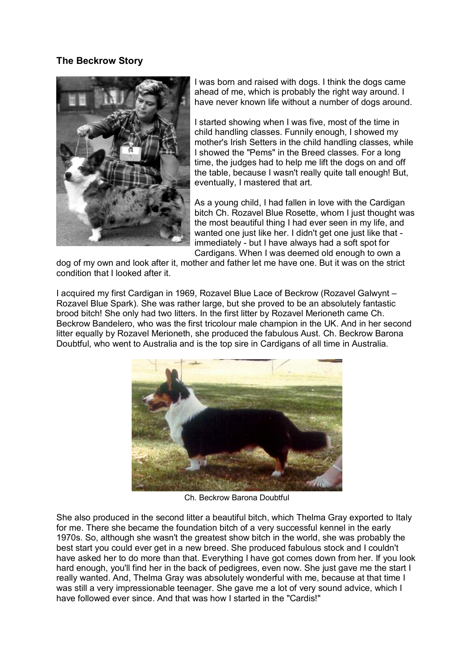## **The Beckrow Story**



I was born and raised with dogs. I think the dogs came ahead of me, which is probably the right way around. I have never known life without a number of dogs around.

I started showing when I was five, most of the time in child handling classes. Funnily enough, I showed my mother's Irish Setters in the child handling classes, while I showed the "Pems" in the Breed classes. For a long time, the judges had to help me lift the dogs on and off the table, because I wasn't really quite tall enough! But, eventually, I mastered that art.

As a young child, I had fallen in love with the Cardigan bitch Ch. Rozavel Blue Rosette, whom I just thought was the most beautiful thing I had ever seen in my life, and wanted one just like her. I didn't get one just like that immediately - but I have always had a soft spot for Cardigans. When I was deemed old enough to own a

dog of my own and look after it, mother and father let me have one. But it was on the strict condition that I looked after it.

I acquired my first Cardigan in 1969, Rozavel Blue Lace of Beckrow (Rozavel Galwynt – Rozavel Blue Spark). She was rather large, but she proved to be an absolutely fantastic brood bitch! She only had two litters. In the first litter by Rozavel Merioneth came Ch. Beckrow Bandelero, who was the first tricolour male champion in the UK. And in her second litter equally by Rozavel Merioneth, she produced the fabulous Aust. Ch. Beckrow Barona Doubtful, who went to Australia and is the top sire in Cardigans of all time in Australia.



Ch. Beckrow Barona Doubtful

She also produced in the second litter a beautiful bitch, which Thelma Gray exported to Italy for me. There she became the foundation bitch of a very successful kennel in the early 1970s. So, although she wasn't the greatest show bitch in the world, she was probably the best start you could ever get in a new breed. She produced fabulous stock and I couldn't have asked her to do more than that. Everything I have got comes down from her. If you look hard enough, you'll find her in the back of pedigrees, even now. She just gave me the start I really wanted. And, Thelma Gray was absolutely wonderful with me, because at that time I was still a very impressionable teenager. She gave me a lot of very sound advice, which I have followed ever since. And that was how I started in the "Cardis!"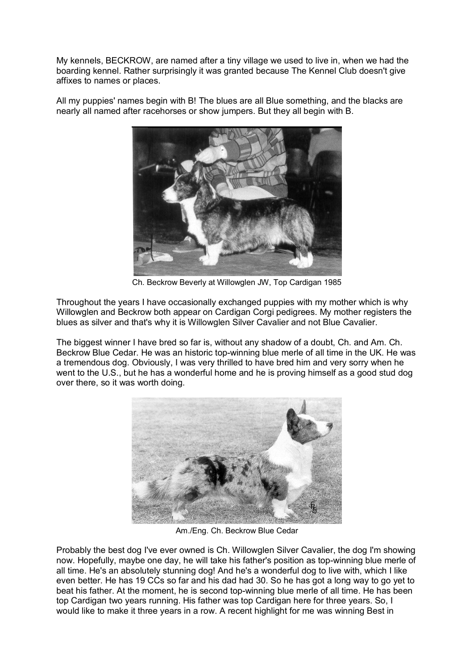My kennels, BECKROW, are named after a tiny village we used to live in, when we had the boarding kennel. Rather surprisingly it was granted because The Kennel Club doesn't give affixes to names or places.

All my puppies' names begin with B! The blues are all Blue something, and the blacks are nearly all named after racehorses or show jumpers. But they all begin with B.



Ch. Beckrow Beverly at Willowglen JW, Top Cardigan 1985

Throughout the years I have occasionally exchanged puppies with my mother which is why Willowglen and Beckrow both appear on Cardigan Corgi pedigrees. My mother registers the blues as silver and that's why it is Willowglen Silver Cavalier and not Blue Cavalier.

The biggest winner I have bred so far is, without any shadow of a doubt, Ch. and Am. Ch. Beckrow Blue Cedar. He was an historic top-winning blue merle of all time in the UK. He was a tremendous dog. Obviously, I was very thrilled to have bred him and very sorry when he went to the U.S., but he has a wonderful home and he is proving himself as a good stud dog over there, so it was worth doing.



Am./Eng. Ch. Beckrow Blue Cedar

Probably the best dog I've ever owned is Ch. Willowglen Silver Cavalier, the dog I'm showing now. Hopefully, maybe one day, he will take his father's position as top-winning blue merle of all time. He's an absolutely stunning dog! And he's a wonderful dog to live with, which I like even better. He has 19 CCs so far and his dad had 30. So he has got a long way to go yet to beat his father. At the moment, he is second top-winning blue merle of all time. He has been top Cardigan two years running. His father was top Cardigan here for three years. So, I would like to make it three years in a row. A recent highlight for me was winning Best in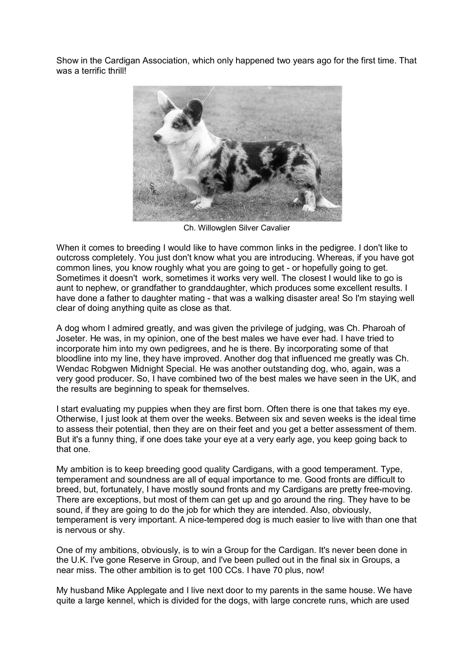Show in the Cardigan Association, which only happened two years ago for the first time. That was a terrific thrill!



Ch. Willowglen Silver Cavalier

When it comes to breeding I would like to have common links in the pedigree. I don't like to outcross completely. You just don't know what you are introducing. Whereas, if you have got common lines, you know roughly what you are going to get - or hopefully going to get. Sometimes it doesn't work, sometimes it works very well. The closest I would like to go is aunt to nephew, or grandfather to granddaughter, which produces some excellent results. I have done a father to daughter mating - that was a walking disaster area! So I'm staying well clear of doing anything quite as close as that.

A dog whom I admired greatly, and was given the privilege of judging, was Ch. Pharoah of Joseter. He was, in my opinion, one of the best males we have ever had. I have tried to incorporate him into my own pedigrees, and he is there. By incorporating some of that bloodline into my line, they have improved. Another dog that influenced me greatly was Ch. Wendac Robgwen Midnight Special. He was another outstanding dog, who, again, was a very good producer. So, I have combined two of the best males we have seen in the UK, and the results are beginning to speak for themselves.

I start evaluating my puppies when they are first born. Often there is one that takes my eye. Otherwise, I just look at them over the weeks. Between six and seven weeks is the ideal time to assess their potential, then they are on their feet and you get a better assessment of them. But it's a funny thing, if one does take your eye at a very early age, you keep going back to that one.

My ambition is to keep breeding good quality Cardigans, with a good temperament. Type, temperament and soundness are all of equal importance to me. Good fronts are difficult to breed, but, fortunately, I have mostly sound fronts and my Cardigans are pretty free-moving. There are exceptions, but most of them can get up and go around the ring. They have to be sound, if they are going to do the job for which they are intended. Also, obviously, temperament is very important. A nice-tempered dog is much easier to live with than one that is nervous or shy.

One of my ambitions, obviously, is to win a Group for the Cardigan. It's never been done in the U.K. I've gone Reserve in Group, and I've been pulled out in the final six in Groups, a near miss. The other ambition is to get 100 CCs. I have 70 plus, now!

My husband Mike Applegate and I live next door to my parents in the same house. We have quite a large kennel, which is divided for the dogs, with large concrete runs, which are used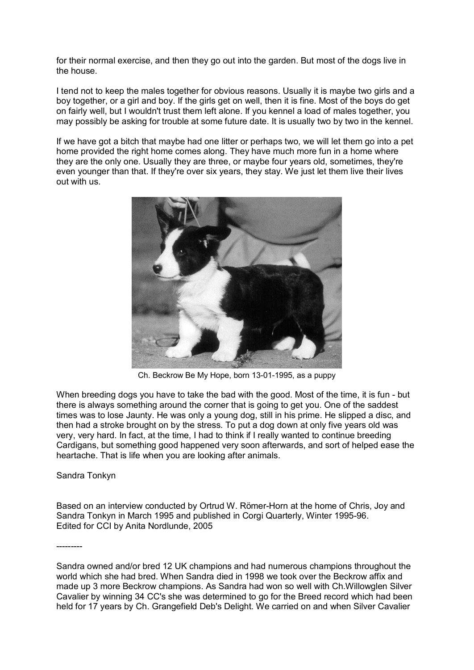for their normal exercise, and then they go out into the garden. But most of the dogs live in the house.

I tend not to keep the males together for obvious reasons. Usually it is maybe two girls and a boy together, or a girl and boy. If the girls get on well, then it is fine. Most of the boys do get on fairly well, but I wouldn't trust them left alone. If you kennel a load of males together, you may possibly be asking for trouble at some future date. It is usually two by two in the kennel.

If we have got a bitch that maybe had one litter or perhaps two, we will let them go into a pet home provided the right home comes along. They have much more fun in a home where they are the only one. Usually they are three, or maybe four years old, sometimes, they're even younger than that. If they're over six years, they stay. We just let them live their lives out with us.



Ch. Beckrow Be My Hope, born 13-01-1995, as a puppy

When breeding dogs you have to take the bad with the good. Most of the time, it is fun - but there is always something around the corner that is going to get you. One of the saddest times was to lose Jaunty. He was only a young dog, still in his prime. He slipped a disc, and then had a stroke brought on by the stress. To put a dog down at only five years old was very, very hard. In fact, at the time, I had to think if I really wanted to continue breeding Cardigans, but something good happened very soon afterwards, and sort of helped ease the heartache. That is life when you are looking after animals.

Sandra Tonkyn

Based on an interview conducted by Ortrud W. Römer-Horn at the home of Chris, Joy and Sandra Tonkyn in March 1995 and published in Corgi Quarterly, Winter 1995-96. Edited for CCI by Anita Nordlunde, 2005

---------

Sandra owned and/or bred 12 UK champions and had numerous champions throughout the world which she had bred. When Sandra died in 1998 we took over the Beckrow affix and made up 3 more Beckrow champions. As Sandra had won so well with Ch.Willowglen Silver Cavalier by winning 34 CC's she was determined to go for the Breed record which had been held for 17 years by Ch. Grangefield Deb's Delight. We carried on and when Silver Cavalier